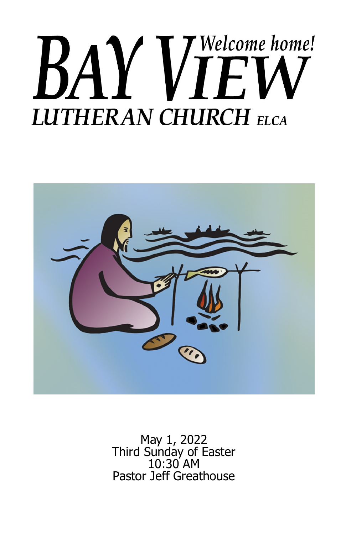# Welcome home! F, **LUTHERAN CHURCH ELCA**



May 1, 2022 Third Sunday of Easter 10:30 AM Pastor Jeff Greathouse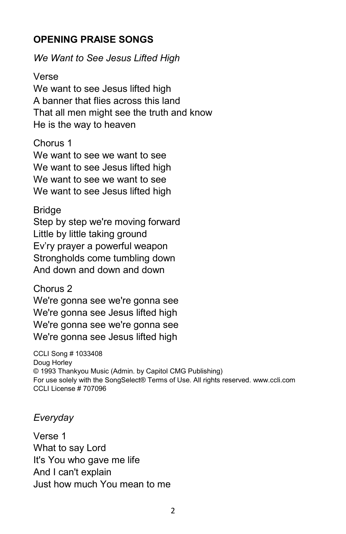## **OPENING PRAISE SONGS**

*We Want to See Jesus Lifted High*

Verse We want to see Jesus lifted high A banner that flies across this land That all men might see the truth and know He is the way to heaven

Chorus 1 We want to see we want to see We want to see Jesus lifted high We want to see we want to see We want to see Jesus lifted high

#### Bridge

Step by step we're moving forward Little by little taking ground Ev'ry prayer a powerful weapon Strongholds come tumbling down And down and down and down

Chorus 2 We're gonna see we're gonna see We're gonna see Jesus lifted high We're gonna see we're gonna see We're gonna see Jesus lifted high

CCLI Song # 1033408 Doug Horley © 1993 Thankyou Music (Admin. by Capitol CMG Publishing) For use solely with the SongSelect® Terms of Use. All rights reserved. www.ccli.com CCLI License # 707096

## *Everyday*

Verse 1 What to say Lord It's You who gave me life And I can't explain Just how much You mean to me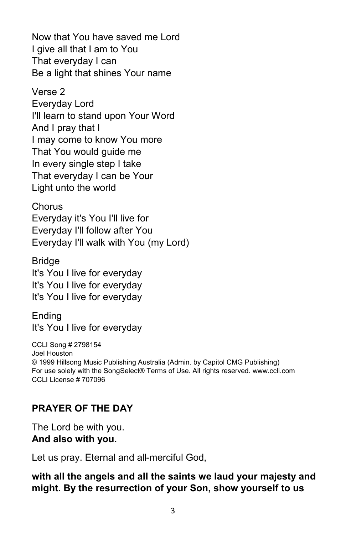Now that You have saved me Lord I give all that I am to You That everyday I can Be a light that shines Your name

Verse 2 Everyday Lord I'll learn to stand upon Your Word And I pray that I I may come to know You more That You would guide me In every single step I take That everyday I can be Your Light unto the world

**Chorus** Everyday it's You I'll live for Everyday I'll follow after You Everyday I'll walk with You (my Lord)

Bridge It's You I live for everyday It's You I live for everyday It's You I live for everyday

Ending It's You I live for everyday

CCLI Song # 2798154 Joel Houston © 1999 Hillsong Music Publishing Australia (Admin. by Capitol CMG Publishing) For use solely with the SongSelect® Terms of Use. All rights reserved. www.ccli.com CCLI License # 707096

# **PRAYER OF THE DAY**

The Lord be with you. **And also with you.**

Let us pray. Eternal and all-merciful God,

**with all the angels and all the saints we laud your majesty and might. By the resurrection of your Son, show yourself to us**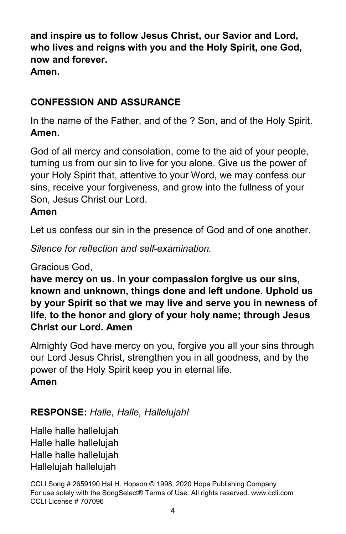**and inspire us to follow Jesus Christ, our Savior and Lord, who lives and reigns with you and the Holy Spirit, one God, now and forever. Amen.**

# **CONFESSION AND ASSURANCE**

In the name of the Father, and of the ? Son, and of the Holy Spirit. **Amen.**

God of all mercy and consolation, come to the aid of your people, turning us from our sin to live for you alone. Give us the power of your Holy Spirit that, attentive to your Word, we may confess our sins, receive your forgiveness, and grow into the fullness of your Son, Jesus Christ our Lord.

#### **Amen**

Let us confess our sin in the presence of God and of one another.

*Silence for reflection and self-examination.*

## Gracious God,

**have mercy on us. In your compassion forgive us our sins, known and unknown, things done and left undone. Uphold us by your Spirit so that we may live and serve you in newness of life, to the honor and glory of your holy name; through Jesus Christ our Lord. Amen**

Almighty God have mercy on you, forgive you all your sins through our Lord Jesus Christ, strengthen you in all goodness, and by the power of the Holy Spirit keep you in eternal life. **Amen**

## **RESPONSE:** *Halle, Halle, Hallelujah!*

Halle halle hallelujah Halle halle hallelujah Halle halle hallelujah Hallelujah hallelujah

CCLI Song # 2659190 Hal H. Hopson © 1998, 2020 Hope Publishing Company For use solely with the SongSelect® Terms of Use. All rights reserved. www.ccli.com CCLI License # 707096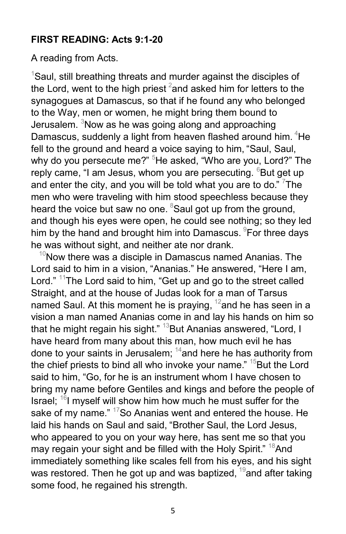#### **FIRST READING: Acts 9:1-20**

A reading from Acts.

 $1$ Saul, still breathing threats and murder against the disciples of the Lord, went to the high priest  $^2$ and asked him for letters to the synagogues at Damascus, so that if he found any who belonged to the Way, men or women, he might bring them bound to Jerusalem.  $3$ Now as he was going along and approaching Damascus, suddenly a light from heaven flashed around him. <sup>4</sup>He fell to the ground and heard a voice saying to him, "Saul, Saul, why do you persecute me?" <sup>5</sup>He asked, "Who are you, Lord?" The reply came, "I am Jesus, whom you are persecuting. <sup>6</sup>But get up and enter the city, and you will be told what you are to do."  $7$ The men who were traveling with him stood speechless because they heard the voice but saw no one.  $8$ Saul got up from the ground, and though his eyes were open, he could see nothing; so they led him by the hand and brought him into Damascus.  $^9$ For three days he was without sight, and neither ate nor drank.

 $10$ Now there was a disciple in Damascus named Ananias. The Lord said to him in a vision, "Ananias." He answered, "Here I am, Lord."  $11$ The Lord said to him, "Get up and go to the street called Straight, and at the house of Judas look for a man of Tarsus named Saul. At this moment he is praying,  $12$  and he has seen in a vision a man named Ananias come in and lay his hands on him so that he might regain his sight."  $13$ But Ananias answered, "Lord, I have heard from many about this man, how much evil he has done to your saints in Jerusalem;  $14$  and here he has authority from the chief priests to bind all who invoke your name."  $15$ But the Lord said to him, "Go, for he is an instrument whom I have chosen to bring my name before Gentiles and kings and before the people of Israel; <sup>16</sup>I myself will show him how much he must suffer for the sake of my name."  $17$ So Ananias went and entered the house. He laid his hands on Saul and said, "Brother Saul, the Lord Jesus, who appeared to you on your way here, has sent me so that you may regain your sight and be filled with the Holy Spirit."  $18$ And immediately something like scales fell from his eyes, and his sight was restored. Then he got up and was baptized,  $^{19}$ and after taking some food, he regained his strength.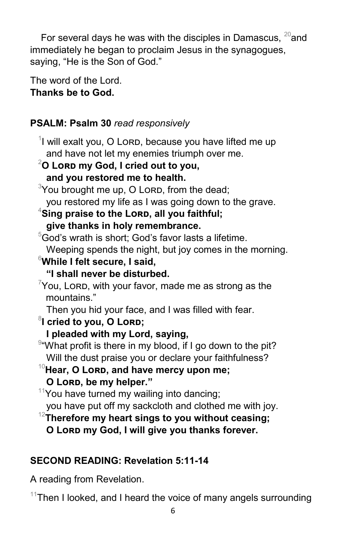For several days he was with the disciples in Damascus,  $^{20}$  and immediately he began to proclaim Jesus in the synagogues, saying, "He is the Son of God."

The word of the Lord. **Thanks be to God.**

# **PSALM: Psalm 30** *read responsively*

| $1$ will exalt you, O Lorp, because you have lifted me up                |
|--------------------------------------------------------------------------|
| and have not let my enemies triumph over me.                             |
| $2^2$ O Lorp my God, I cried out to you,                                 |
| and you restored me to health.                                           |
| $3$ You brought me up, O Lorn, from the dead;                            |
| you restored my life as I was going down to the grave.                   |
| $4$ Sing praise to the Lorp, all you faithful;                           |
| give thanks in holy remembrance.                                         |
| $5$ God's wrath is short; God's favor lasts a lifetime.                  |
| Weeping spends the night, but joy comes in the morning.                  |
| <sup>6</sup> While I felt secure, I said,                                |
| "I shall never be disturbed.                                             |
| $\sqrt{y}$ You, Lorp, with your favor, made me as strong as the          |
| mountains."                                                              |
| Then you hid your face, and I was filled with fear.                      |
| <sup>8</sup> I cried to you, O Lorp;                                     |
| I pleaded with my Lord, saying,                                          |
| <sup>9</sup> "What profit is there in my blood, if I go down to the pit? |
| Will the dust praise you or declare your faithfulness?                   |
| $10$ Hear, O Lorp, and have mercy upon me;                               |
| O Lorp, be my helper."                                                   |
| $11$ You have turned my wailing into dancing;                            |
| you have put off my sackcloth and clothed me with joy.                   |
| $^{12}$ Therefore my heart sings to you without ceasing;                 |
| O Loro my God, I will give you thanks forever.                           |

# **SECOND READING: Revelation 5:11-14**

A reading from Revelation.

 $11$ Then I looked, and I heard the voice of many angels surrounding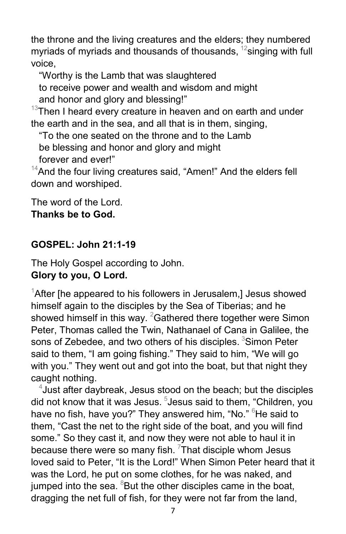the throne and the living creatures and the elders; they numbered myriads of myriads and thousands of thousands,  $12$  singing with full voice,

"Worthy is the Lamb that was slaughtered

to receive power and wealth and wisdom and might and honor and glory and blessing!"

 $13$ Then I heard every creature in heaven and on earth and under the earth and in the sea, and all that is in them, singing,

"To the one seated on the throne and to the Lamb

be blessing and honor and glory and might forever and ever!"

 $14$ And the four living creatures said, "Amen!" And the elders fell down and worshiped.

The word of the Lord. **Thanks be to God.**

# **GOSPEL: John 21:1-19**

The Holy Gospel according to John. **Glory to you, O Lord.**

 $1$ After [he appeared to his followers in Jerusalem,] Jesus showed himself again to the disciples by the Sea of Tiberias; and he showed himself in this way.  ${}^{2}$ Gathered there together were Simon Peter, Thomas called the Twin, Nathanael of Cana in Galilee, the sons of Zebedee, and two others of his disciples. <sup>3</sup>Simon Peter said to them, "I am going fishing." They said to him, "We will go with you." They went out and got into the boat, but that night they caught nothing.

 $^4$ Just after daybreak, Jesus stood on the beach; but the disciples did not know that it was Jesus.  $^5$ Jesus said to them, "Children, you have no fish, have you?" They answered him, "No." <sup>6</sup>He said to them, "Cast the net to the right side of the boat, and you will find some." So they cast it, and now they were not able to haul it in because there were so many fish.  $\mathrm{^{7}That}$  disciple whom Jesus loved said to Peter, "It is the Lord!" When Simon Peter heard that it was the Lord, he put on some clothes, for he was naked, and jumped into the sea.  ${}^{8}$ But the other disciples came in the boat, dragging the net full of fish, for they were not far from the land,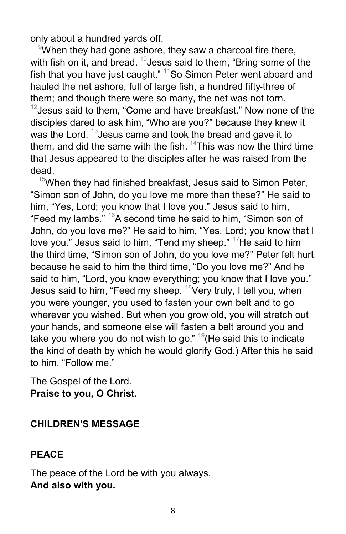only about a hundred yards off.

 $\degree$ When they had gone ashore, they saw a charcoal fire there, with fish on it, and bread.  $^{10}$  Jesus said to them, "Bring some of the fish that you have just caught." <sup>11</sup>So Simon Peter went aboard and hauled the net ashore, full of large fish, a hundred fifty-three of them; and though there were so many, the net was not torn.  $12$ Jesus said to them, "Come and have breakfast." Now none of the disciples dared to ask him, "Who are you?" because they knew it was the Lord. <sup>13</sup> Jesus came and took the bread and gave it to them, and did the same with the fish.  $14$ This was now the third time that Jesus appeared to the disciples after he was raised from the dead.

 $15$ When they had finished breakfast, Jesus said to Simon Peter, "Simon son of John, do you love me more than these?" He said to him, "Yes, Lord; you know that I love you." Jesus said to him, "Feed my lambs."  $16A$  second time he said to him, "Simon son of John, do you love me?" He said to him, "Yes, Lord; you know that I love you." Jesus said to him, "Tend my sheep."  $17$ He said to him the third time, "Simon son of John, do you love me?" Peter felt hurt because he said to him the third time, "Do you love me?" And he said to him, "Lord, you know everything; you know that I love you." Jesus said to him, "Feed my sheep.  $18$ Very truly, I tell you, when you were younger, you used to fasten your own belt and to go wherever you wished. But when you grow old, you will stretch out your hands, and someone else will fasten a belt around you and take you where you do not wish to go."  $19$ <sup>(He said this to indicate)</sup> the kind of death by which he would glorify God.) After this he said to him, "Follow me."

The Gospel of the Lord. **Praise to you, O Christ.**

#### **CHILDREN'S MESSAGE**

#### **PEACE**

The peace of the Lord be with you always. **And also with you.**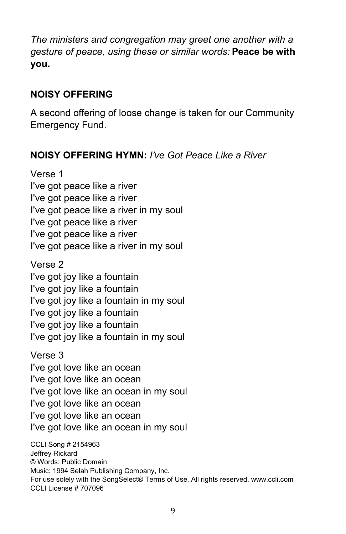*The ministers and congregation may greet one another with a gesture of peace, using these or similar words:* **Peace be with you.**

## **NOISY OFFERING**

A second offering of loose change is taken for our Community Emergency Fund.

## **NOISY OFFERING HYMN:** *I've Got Peace Like a River*

Verse 1 I've got peace like a river I've got peace like a river I've got peace like a river in my soul I've got peace like a river I've got peace like a river I've got peace like a river in my soul Verse 2 I've got joy like a fountain I've got joy like a fountain I've got joy like a fountain in my soul I've got joy like a fountain I've got joy like a fountain I've got joy like a fountain in my soul Verse 3 I've got love like an ocean I've got love like an ocean I've got love like an ocean in my soul I've got love like an ocean I've got love like an ocean I've got love like an ocean in my soul CCLI Song # 2154963 Jeffrey Rickard © Words: Public Domain Music: 1994 Selah Publishing Company, Inc. For use solely with the SongSelect® Terms of Use. All rights reserved. www.ccli.com CCLI License # 707096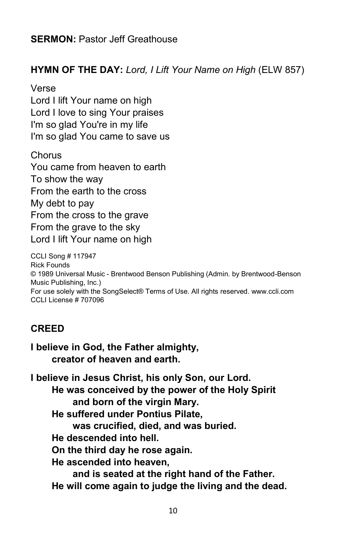# **HYMN OF THE DAY:** *Lord, I Lift Your Name on High* (ELW 857)

Verse Lord I lift Your name on high Lord I love to sing Your praises I'm so glad You're in my life I'm so glad You came to save us

**Chorus** You came from heaven to earth To show the way From the earth to the cross My debt to pay From the cross to the grave From the grave to the sky Lord I lift Your name on high

CCLI Song # 117947 Rick Founds © 1989 Universal Music - Brentwood Benson Publishing (Admin. by Brentwood-Benson Music Publishing, Inc.) For use solely with the SongSelect® Terms of Use. All rights reserved. www.ccli.com CCLI License # 707096

## **CREED**

**I believe in God, the Father almighty, creator of heaven and earth.**

**I believe in Jesus Christ, his only Son, our Lord. He was conceived by the power of the Holy Spirit and born of the virgin Mary. He suffered under Pontius Pilate, was crucified, died, and was buried. He descended into hell. On the third day he rose again. He ascended into heaven, and is seated at the right hand of the Father. He will come again to judge the living and the dead.**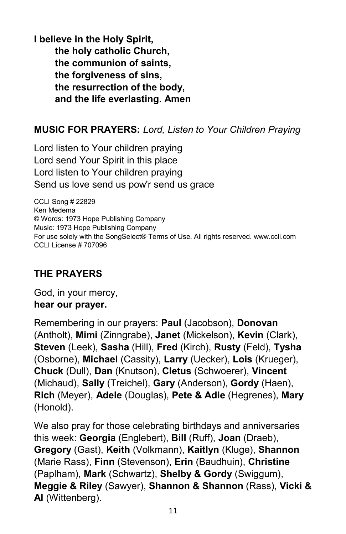**I believe in the Holy Spirit, the holy catholic Church, the communion of saints, the forgiveness of sins, the resurrection of the body, and the life everlasting. Amen**

## **MUSIC FOR PRAYERS:** *Lord, Listen to Your Children Praying*

Lord listen to Your children praying Lord send Your Spirit in this place Lord listen to Your children praying Send us love send us pow'r send us grace

CCLI Song # 22829 Ken Medema © Words: 1973 Hope Publishing Company Music: 1973 Hope Publishing Company For use solely with the SongSelect® Terms of Use. All rights reserved. www.ccli.com CCLI License # 707096

# **THE PRAYERS**

God, in your mercy, **hear our prayer.**

Remembering in our prayers: **Paul** (Jacobson), **Donovan**  (Antholt), **Mimi** (Zinngrabe), **Janet** (Mickelson), **Kevin** (Clark), **Steven** (Leek), **Sasha** (Hill), **Fred** (Kirch), **Rusty** (Feld), **Tysha**  (Osborne), **Michael** (Cassity), **Larry** (Uecker), **Lois** (Krueger), **Chuck** (Dull), **Dan** (Knutson), **Cletus** (Schwoerer), **Vincent**  (Michaud), **Sally** (Treichel), **Gary** (Anderson), **Gordy** (Haen), **Rich** (Meyer), **Adele** (Douglas), **Pete & Adie** (Hegrenes), **Mary**  (Honold).

We also pray for those celebrating birthdays and anniversaries this week: **Georgia** (Englebert), **Bill** (Ruff), **Joan** (Draeb), **Gregory** (Gast), **Keith** (Volkmann), **Kaitlyn** (Kluge), **Shannon** (Marie Rass), **Finn** (Stevenson), **Erin** (Baudhuin), **Christine** (Paplham), **Mark** (Schwartz), **Shelby & Gordy** (Swiggum), **Meggie & Riley** (Sawyer), **Shannon & Shannon** (Rass), **Vicki & Al** (Wittenberg).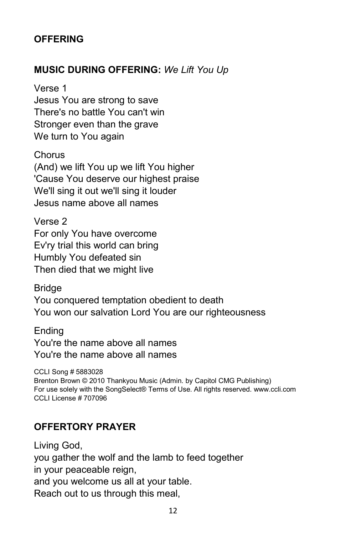# **OFFERING**

#### **MUSIC DURING OFFERING:** *We Lift You Up*

Verse 1 Jesus You are strong to save There's no battle You can't win Stronger even than the grave We turn to You again

**Chorus** (And) we lift You up we lift You higher 'Cause You deserve our highest praise We'll sing it out we'll sing it louder Jesus name above all names

Verse 2 For only You have overcome Ev'ry trial this world can bring Humbly You defeated sin Then died that we might live

Bridge You conquered temptation obedient to death You won our salvation Lord You are our righteousness

Ending You're the name above all names You're the name above all names

CCLI Song # 5883028 Brenton Brown © 2010 Thankyou Music (Admin. by Capitol CMG Publishing) For use solely with the SongSelect® Terms of Use. All rights reserved. www.ccli.com CCLI License # 707096

#### **OFFERTORY PRAYER**

Living God, you gather the wolf and the lamb to feed together in your peaceable reign, and you welcome us all at your table. Reach out to us through this meal,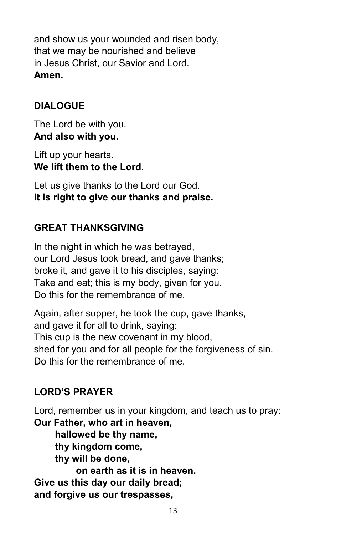and show us your wounded and risen body, that we may be nourished and believe in Jesus Christ, our Savior and Lord. **Amen.**

## **DIALOGUE**

The Lord be with you. **And also with you.**

Lift up your hearts. **We lift them to the Lord.**

Let us give thanks to the Lord our God. **It is right to give our thanks and praise.**

# **GREAT THANKSGIVING**

In the night in which he was betrayed, our Lord Jesus took bread, and gave thanks; broke it, and gave it to his disciples, saying: Take and eat; this is my body, given for you. Do this for the remembrance of me.

Again, after supper, he took the cup, gave thanks, and gave it for all to drink, saying: This cup is the new covenant in my blood, shed for you and for all people for the forgiveness of sin. Do this for the remembrance of me.

# **LORD'S PRAYER**

Lord, remember us in your kingdom, and teach us to pray: **Our Father, who art in heaven,**

**hallowed be thy name, thy kingdom come, thy will be done, on earth as it is in heaven. Give us this day our daily bread; and forgive us our trespasses,**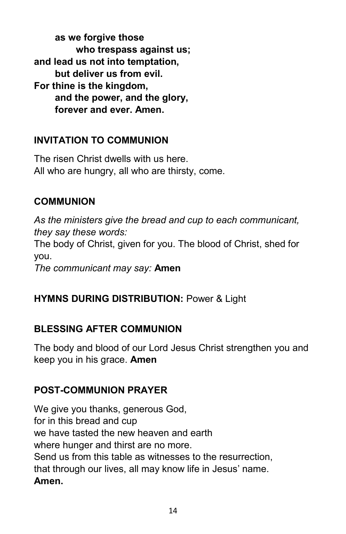**as we forgive those who trespass against us; and lead us not into temptation, but deliver us from evil. For thine is the kingdom, and the power, and the glory, forever and ever. Amen.**

## **INVITATION TO COMMUNION**

The risen Christ dwells with us here. All who are hungry, all who are thirsty, come.

## **COMMUNION**

*As the ministers give the bread and cup to each communicant, they say these words:* The body of Christ, given for you. The blood of Christ, shed for you.

*The communicant may say:* **Amen**

## **HYMNS DURING DISTRIBUTION:** Power & Light

## **BLESSING AFTER COMMUNION**

The body and blood of our Lord Jesus Christ strengthen you and keep you in his grace. **Amen**

## **POST-COMMUNION PRAYER**

We give you thanks, generous God, for in this bread and cup we have tasted the new heaven and earth where hunger and thirst are no more. Send us from this table as witnesses to the resurrection, that through our lives, all may know life in Jesus' name. **Amen.**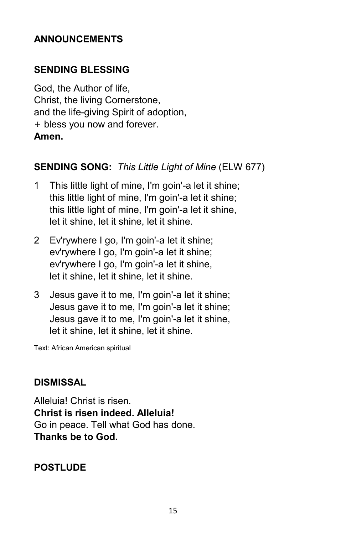## **ANNOUNCEMENTS**

#### **SENDING BLESSING**

God, the Author of life, Christ, the living Cornerstone, and the life-giving Spirit of adoption,  $+$  bless you now and forever. **Amen.**

#### **SENDING SONG:** *This Little Light of Mine* (ELW 677)

- 1 This little light of mine, I'm goin'-a let it shine; this little light of mine, I'm goin'-a let it shine; this little light of mine, I'm goin'-a let it shine, let it shine, let it shine, let it shine.
- 2 Ev'rywhere I go, I'm goin'-a let it shine; ev'rywhere I go, I'm goin'-a let it shine; ev'rywhere I go, I'm goin'-a let it shine, let it shine, let it shine, let it shine.
- 3 Jesus gave it to me, I'm goin'-a let it shine; Jesus gave it to me, I'm goin'-a let it shine; Jesus gave it to me, I'm goin'-a let it shine, let it shine, let it shine, let it shine.

Text: African American spiritual

#### **DISMISSAL**

Alleluia! Christ is risen. **Christ is risen indeed. Alleluia!** Go in peace. Tell what God has done. **Thanks be to God.**

#### **POSTLUDE**